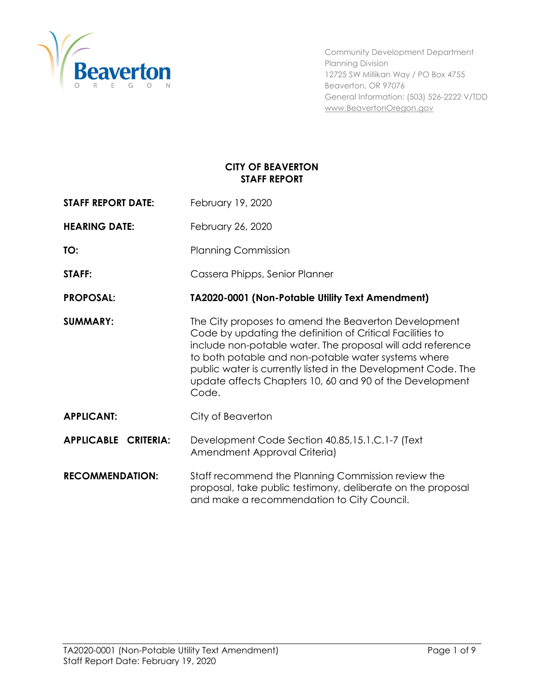

Community Development Department Planning Division 12725 SW Millikan Way / PO Box 4755 Beaverton, OR 97076 General Information: (503) 526-2222 V/TDD [www.BeavertonOregon.gov](http://www.beavertonoregon.gov/)

# **CITY OF BEAVERTON STAFF REPORT**

**STAFF REPORT DATE:** February 19, 2020

**HEARING DATE:** February 26, 2020

**TO:** Planning Commission

**STAFF:** Cassera Phipps, Senior Planner

**PROPOSAL: TA2020-0001 (Non-Potable Utility Text Amendment)**

- **SUMMARY:** The City proposes to amend the Beaverton Development Code by updating the definition of Critical Facilities to include non-potable water. The proposal will add reference to both potable and non-potable water systems where public water is currently listed in the Development Code. The update affects Chapters 10, 60 and 90 of the Development Code.
- **APPLICANT:** City of Beaverton
- **APPLICABLE CRITERIA:** Development Code Section 40.85.15.1.C.1-7 (Text Amendment Approval Criteria)
- **RECOMMENDATION:** Staff recommend the Planning Commission review the proposal, take public testimony, deliberate on the proposal and make a recommendation to City Council.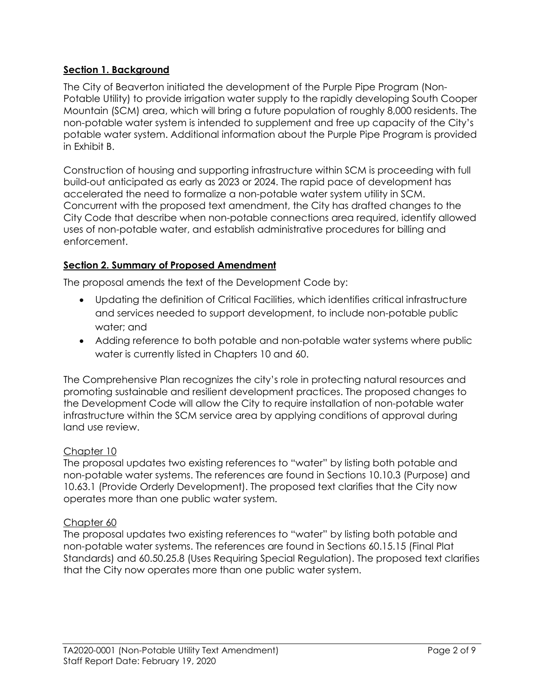# **Section 1. Background**

The City of Beaverton initiated the development of the Purple Pipe Program (Non-Potable Utility) to provide irrigation water supply to the rapidly developing South Cooper Mountain (SCM) area, which will bring a future population of roughly 8,000 residents. The non-potable water system is intended to supplement and free up capacity of the City's potable water system. Additional information about the Purple Pipe Program is provided in Exhibit B.

Construction of housing and supporting infrastructure within SCM is proceeding with full build-out anticipated as early as 2023 or 2024. The rapid pace of development has accelerated the need to formalize a non-potable water system utility in SCM. Concurrent with the proposed text amendment, the City has drafted changes to the City Code that describe when non-potable connections area required, identify allowed uses of non-potable water, and establish administrative procedures for billing and enforcement.

# **Section 2. Summary of Proposed Amendment**

The proposal amends the text of the Development Code by:

- Updating the definition of Critical Facilities, which identifies critical infrastructure and services needed to support development, to include non-potable public water; and
- Adding reference to both potable and non-potable water systems where public water is currently listed in Chapters 10 and 60.

The Comprehensive Plan recognizes the city's role in protecting natural resources and promoting sustainable and resilient development practices. The proposed changes to the Development Code will allow the City to require installation of non-potable water infrastructure within the SCM service area by applying conditions of approval during land use review.

### Chapter 10

The proposal updates two existing references to "water" by listing both potable and non-potable water systems. The references are found in Sections 10.10.3 (Purpose) and 10.63.1 (Provide Orderly Development). The proposed text clarifies that the City now operates more than one public water system.

### Chapter 60

The proposal updates two existing references to "water" by listing both potable and non-potable water systems. The references are found in Sections 60.15.15 (Final Plat Standards) and 60.50.25.8 (Uses Requiring Special Regulation). The proposed text clarifies that the City now operates more than one public water system.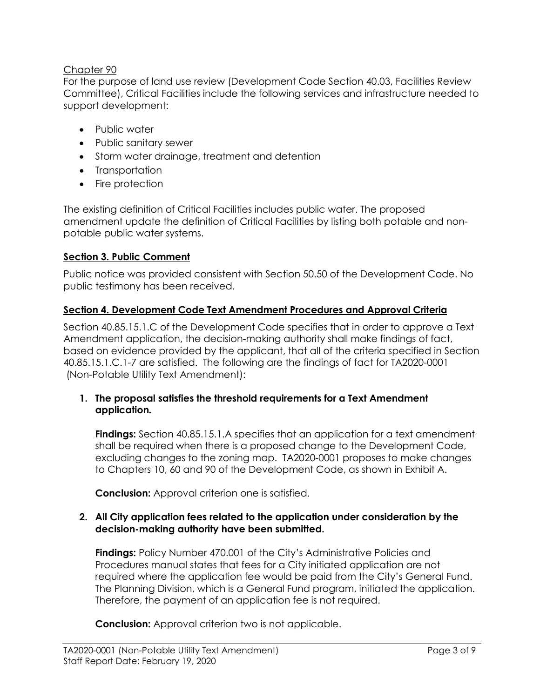## Chapter 90

For the purpose of land use review (Development Code Section 40.03, Facilities Review Committee), Critical Facilities include the following services and infrastructure needed to support development:

- Public water
- Public sanitary sewer
- Storm water drainage, treatment and detention
- Transportation
- Fire protection

The existing definition of Critical Facilities includes public water. The proposed amendment update the definition of Critical Facilities by listing both potable and nonpotable public water systems.

### **Section 3. Public Comment**

Public notice was provided consistent with Section 50.50 of the Development Code. No public testimony has been received.

### **Section 4. Development Code Text Amendment Procedures and Approval Criteria**

Section 40.85.15.1.C of the Development Code specifies that in order to approve a Text Amendment application, the decision-making authority shall make findings of fact, based on evidence provided by the applicant, that all of the criteria specified in Section 40.85.15.1.C.1-7 are satisfied. The following are the findings of fact for TA2020-0001 (Non-Potable Utility Text Amendment):

#### **1. The proposal satisfies the threshold requirements for a Text Amendment application***.*

**Findings:** Section 40.85.15.1.A specifies that an application for a text amendment shall be required when there is a proposed change to the Development Code, excluding changes to the zoning map. TA2020-0001 proposes to make changes to Chapters 10, 60 and 90 of the Development Code, as shown in Exhibit A.

**Conclusion:** Approval criterion one is satisfied.

#### **2. All City application fees related to the application under consideration by the decision-making authority have been submitted.**

**Findings:** Policy Number 470.001 of the City's Administrative Policies and Procedures manual states that fees for a City initiated application are not required where the application fee would be paid from the City's General Fund. The Planning Division, which is a General Fund program, initiated the application. Therefore, the payment of an application fee is not required.

**Conclusion:** Approval criterion two is not applicable.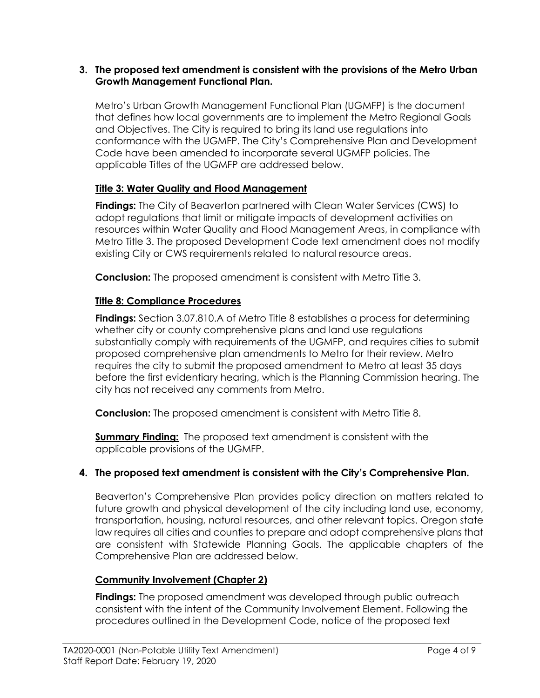#### **3. The proposed text amendment is consistent with the provisions of the Metro Urban Growth Management Functional Plan.**

Metro's Urban Growth Management Functional Plan (UGMFP) is the document that defines how local governments are to implement the Metro Regional Goals and Objectives. The City is required to bring its land use regulations into conformance with the UGMFP. The City's Comprehensive Plan and Development Code have been amended to incorporate several UGMFP policies. The applicable Titles of the UGMFP are addressed below.

### **Title 3: Water Quality and Flood Management**

**Findings:** The City of Beaverton partnered with Clean Water Services (CWS) to adopt regulations that limit or mitigate impacts of development activities on resources within Water Quality and Flood Management Areas, in compliance with Metro Title 3. The proposed Development Code text amendment does not modify existing City or CWS requirements related to natural resource areas.

**Conclusion:** The proposed amendment is consistent with Metro Title 3.

### **Title 8: Compliance Procedures**

**Findings:** Section 3.07.810.A of Metro Title 8 establishes a process for determining whether city or county comprehensive plans and land use regulations substantially comply with requirements of the UGMFP, and requires cities to submit proposed comprehensive plan amendments to Metro for their review. Metro requires the city to submit the proposed amendment to Metro at least 35 days before the first evidentiary hearing, which is the Planning Commission hearing. The city has not received any comments from Metro.

**Conclusion:** The proposed amendment is consistent with Metro Title 8.

**Summary Finding:** The proposed text amendment is consistent with the applicable provisions of the UGMFP.

### **4. The proposed text amendment is consistent with the City's Comprehensive Plan.**

Beaverton's Comprehensive Plan provides policy direction on matters related to future growth and physical development of the city including land use, economy, transportation, housing, natural resources, and other relevant topics. Oregon state law requires all cities and counties to prepare and adopt comprehensive plans that are consistent with Statewide Planning Goals. The applicable chapters of the Comprehensive Plan are addressed below.

### **Community Involvement (Chapter 2)**

**Findings:** The proposed amendment was developed through public outreach consistent with the intent of the Community Involvement Element. Following the procedures outlined in the Development Code, notice of the proposed text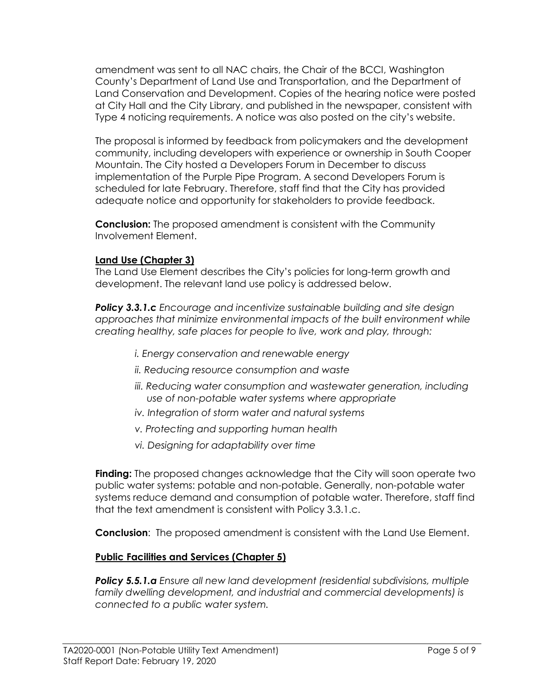amendment was sent to all NAC chairs, the Chair of the BCCI, Washington County's Department of Land Use and Transportation, and the Department of Land Conservation and Development. Copies of the hearing notice were posted at City Hall and the City Library, and published in the newspaper, consistent with Type 4 noticing requirements. A notice was also posted on the city's website.

The proposal is informed by feedback from policymakers and the development community, including developers with experience or ownership in South Cooper Mountain. The City hosted a Developers Forum in December to discuss implementation of the Purple Pipe Program. A second Developers Forum is scheduled for late February. Therefore, staff find that the City has provided adequate notice and opportunity for stakeholders to provide feedback.

**Conclusion:** The proposed amendment is consistent with the Community Involvement Element.

### **Land Use (Chapter 3)**

The Land Use Element describes the City's policies for long-term growth and development. The relevant land use policy is addressed below.

*Policy 3.3.1.c Encourage and incentivize sustainable building and site design approaches that minimize environmental impacts of the built environment while creating healthy, safe places for people to live, work and play, through:*

- *i. Energy conservation and renewable energy*
- *ii. Reducing resource consumption and waste*
- *iii. Reducing water consumption and wastewater generation, including use of non-potable water systems where appropriate*
- *iv. Integration of storm water and natural systems*
- *v. Protecting and supporting human health*
- *vi. Designing for adaptability over time*

**Finding:** The proposed changes acknowledge that the City will soon operate two public water systems: potable and non-potable. Generally, non-potable water systems reduce demand and consumption of potable water. Therefore, staff find that the text amendment is consistent with Policy 3.3.1.c.

**Conclusion**: The proposed amendment is consistent with the Land Use Element.

### **Public Facilities and Services (Chapter 5)**

*Policy 5.5.1.a Ensure all new land development (residential subdivisions, multiple family dwelling development, and industrial and commercial developments) is connected to a public water system.*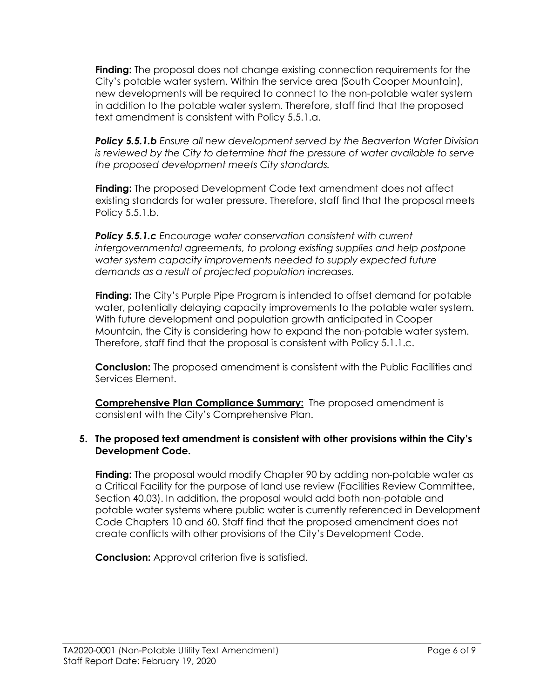**Finding:** The proposal does not change existing connection requirements for the City's potable water system. Within the service area (South Cooper Mountain), new developments will be required to connect to the non-potable water system in addition to the potable water system. Therefore, staff find that the proposed text amendment is consistent with Policy 5.5.1.a.

*Policy 5.5.1.b Ensure all new development served by the Beaverton Water Division is reviewed by the City to determine that the pressure of water available to serve the proposed development meets City standards.*

**Finding:** The proposed Development Code text amendment does not affect existing standards for water pressure. Therefore, staff find that the proposal meets Policy 5.5.1.b.

*Policy 5.5.1.c Encourage water conservation consistent with current intergovernmental agreements, to prolong existing supplies and help postpone water system capacity improvements needed to supply expected future demands as a result of projected population increases.*

**Finding:** The City's Purple Pipe Program is intended to offset demand for potable water, potentially delaying capacity improvements to the potable water system. With future development and population growth anticipated in Cooper Mountain, the City is considering how to expand the non-potable water system. Therefore, staff find that the proposal is consistent with Policy 5.1.1.c.

**Conclusion:** The proposed amendment is consistent with the Public Facilities and Services Element.

**Comprehensive Plan Compliance Summary:** The proposed amendment is consistent with the City's Comprehensive Plan.

### **5. The proposed text amendment is consistent with other provisions within the City's Development Code.**

**Finding:** The proposal would modify Chapter 90 by adding non-potable water as a Critical Facility for the purpose of land use review (Facilities Review Committee, Section 40.03). In addition, the proposal would add both non-potable and potable water systems where public water is currently referenced in Development Code Chapters 10 and 60. Staff find that the proposed amendment does not create conflicts with other provisions of the City's Development Code.

**Conclusion:** Approval criterion five is satisfied.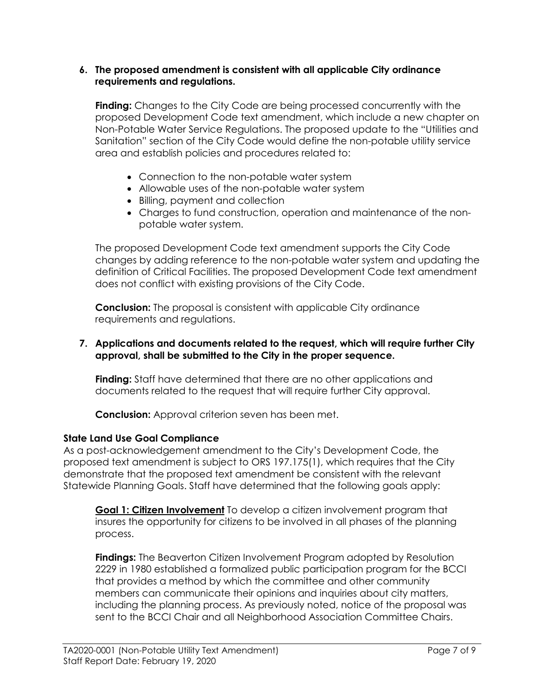#### **6. The proposed amendment is consistent with all applicable City ordinance requirements and regulations.**

**Finding:** Changes to the City Code are being processed concurrently with the proposed Development Code text amendment, which include a new chapter on Non-Potable Water Service Regulations. The proposed update to the "Utilities and Sanitation" section of the City Code would define the non-potable utility service area and establish policies and procedures related to:

- Connection to the non-potable water system
- Allowable uses of the non-potable water system
- Billing, payment and collection
- Charges to fund construction, operation and maintenance of the nonpotable water system.

The proposed Development Code text amendment supports the City Code changes by adding reference to the non-potable water system and updating the definition of Critical Facilities. The proposed Development Code text amendment does not conflict with existing provisions of the City Code.

**Conclusion:** The proposal is consistent with applicable City ordinance requirements and regulations.

#### **7. Applications and documents related to the request, which will require further City approval, shall be submitted to the City in the proper sequence.**

**Finding:** Staff have determined that there are no other applications and documents related to the request that will require further City approval.

**Conclusion:** Approval criterion seven has been met.

### **State Land Use Goal Compliance**

As a post-acknowledgement amendment to the City's Development Code, the proposed text amendment is subject to ORS 197.175(1), which requires that the City demonstrate that the proposed text amendment be consistent with the relevant Statewide Planning Goals. Staff have determined that the following goals apply:

**Goal 1: Citizen Involvement** To develop a citizen involvement program that insures the opportunity for citizens to be involved in all phases of the planning process.

**Findings:** The Beaverton Citizen Involvement Program adopted by Resolution 2229 in 1980 established a formalized public participation program for the BCCI that provides a method by which the committee and other community members can communicate their opinions and inquiries about city matters, including the planning process. As previously noted, notice of the proposal was sent to the BCCI Chair and all Neighborhood Association Committee Chairs.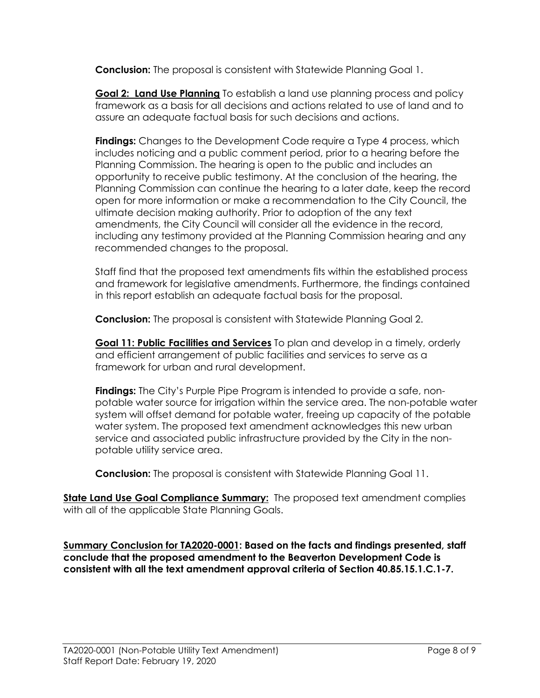**Conclusion:** The proposal is consistent with Statewide Planning Goal 1.

**Goal 2: Land Use Planning** To establish a land use planning process and policy framework as a basis for all decisions and actions related to use of land and to assure an adequate factual basis for such decisions and actions.

**Findings:** Changes to the Development Code require a Type 4 process, which includes noticing and a public comment period, prior to a hearing before the Planning Commission. The hearing is open to the public and includes an opportunity to receive public testimony. At the conclusion of the hearing, the Planning Commission can continue the hearing to a later date, keep the record open for more information or make a recommendation to the City Council, the ultimate decision making authority. Prior to adoption of the any text amendments, the City Council will consider all the evidence in the record, including any testimony provided at the Planning Commission hearing and any recommended changes to the proposal.

Staff find that the proposed text amendments fits within the established process and framework for legislative amendments. Furthermore, the findings contained in this report establish an adequate factual basis for the proposal.

**Conclusion:** The proposal is consistent with Statewide Planning Goal 2.

**Goal 11: Public Facilities and Services** To plan and develop in a timely, orderly and efficient arrangement of public facilities and services to serve as a framework for urban and rural development.

**Findings:** The City's Purple Pipe Program is intended to provide a safe, nonpotable water source for irrigation within the service area. The non-potable water system will offset demand for potable water, freeing up capacity of the potable water system. The proposed text amendment acknowledges this new urban service and associated public infrastructure provided by the City in the nonpotable utility service area.

**Conclusion:** The proposal is consistent with Statewide Planning Goal 11.

**State Land Use Goal Compliance Summary:** The proposed text amendment complies with all of the applicable State Planning Goals.

**Summary Conclusion for TA2020-0001: Based on the facts and findings presented, staff conclude that the proposed amendment to the Beaverton Development Code is consistent with all the text amendment approval criteria of Section 40.85.15.1.C.1-7.**